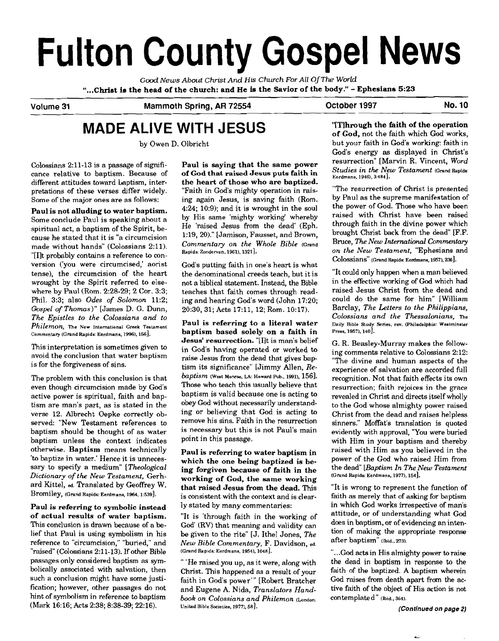# **Fulton County Gospel News**

*Good News About Christ And His Church For All OfThe WorId*  **"...Christ is the head of the church: and He is the Savior of the body."** - **Ephesians <sup>523</sup>**

# **Volume 31 Mammoth Spring, AR 72554 October 1997 No. 10**

# **MADE ALIVE WITH JESUS**

by Owen D. Olbricht

Colossians 2:ll-13 is a passage of significance relative to baptism. Because of different attitudes toward Laptism, interpretations of these verses differ widely. Some of the major ones are as follows:

**Paul is not alluding to water baptism.**  Some conclude Paul is speaking about a spiritual act, a baptism of the Spirit, because he stated that it is "a circumcision made without hands" (Colossians 2:ll). "[Ilt probably contains a reference to conversion ('you were circumcised,' aorist tense), the circumcision of the heart wrought by the Spirit referred to elsewhere by Paul (Rom. 2:28-29: 2 Cor. 3:3: Phil. 3:3; also *Odes of Solomon* 11:2; *Gospel of Thomas)"* [James D. G. Dunn, *The E~istles to the Colossians and to Philemon,* **The New International Greek Testament Commentary (Grand Rapids: Eerdmans. 1996). 1561.** 

This interpretation is sometimes given to avoid the conclusion that water baptism is for the forgiveness of sins.

The problem with this conclusion is that even though circumcision made by God's active power is spiritual, faith and baptism are man's part, as is stated in the verse 12. Albrecht Oepke correctly observed: "New Testament references to baptism should be thought of as water baptism unless the context indicates otherwise. **Baptism** means technically 'to baptize in water.' Hence it is unnecessary to specify a medium" *[Theological Dictionary of the New Testament,* Gerhard Kittel, **ed.** Translated by Geoffrey W. Bromiley, **(Grand Rapids: Eerdmans. 1964. 1:539].** 

**Paul is referring to symbolic instead of actual results of water baptism.**  This conclusion **is** drawn because of a belief that Paul is using symbolism in his reference to "circumcision," "buried," and "raised" (Colossians 2:ll-13). If other Bible passages only considered baptism as **sym**bolically associated with salvation, then such a conclusion might have some justification; however, other passages do not hint of symbolism in reference to baptism (Mark 16:16; Acts 2:38; 8:38-39; 22:16).

**Paul is saying that the same power of God that raised Jesus puts faith in the heart of those who are baptized.**  "Faith in God's mighty operation in raising again Jesus, is saving faith (Rom. 4:24; 10:9); and it is wrought in the soul by His same 'mighty working' whereby He 'raised Jesus from the dead' (Eph. 1:19, 20)." [Jamison, Fausset, and Brown, *Commentary on the Whole Bible* **(Grand Rapids: Zondewan, 1961), 13211.** 

God's putting faith in one's heart is what the denominational creeds teach, but it is not a biblical statement. Instead, the Bible teaches that faith comes through reading and hearing God's word (John 17:20; 20:30,31; Acts 17:11, 12; Rom. 10:17).

**Paul is referring to a literal water baptism based solely on a faith in Jesust resurrection.** "[Ilt is man's belief in God's having operated or worked to raise Jesus from the dead that gives baptism its significance" [Jimmy Allen, *Rebaptism* **West Monroe, LA: Howard Pub., 1991).** 1561. Those who teach this usually believe that baptism is valid because one is acting to obey God without necessarily understanding or believing that God is acting to remove his sins. Faith in the resurrection is necessary but this is not Paul's main point in this passage.

**Paul is referring to water baptism in which the one being baptized is** be**ing forgiven because of faith in the working of God, the same working that raised Jesus from the dead.** This is consistent with the context and is clearly stated by many commentaries:

"It is 'through faith in the working of God' (RV) that meaning and validity can be given to the rite" [J. Ithel Jones, *The New Bible Commentary, F.* Davidson, **ed.**  (Grand Rapids: Eerdmans, 1954), 1048].

" 'He raised you up, as it were, along with Christ. This happened as a result of your faith in God's power"' [Robert Bratcher and Eugene A. Nida, *Translators Handbook on Colossians and Philemon* **(London: United Bible Societies, 1977). 581.** 

**"['JJhrough the faith of the operation of God,** not the faith which God works, but your faith in **God's** working: faith in God's energy as displayed in Christ's resurrection" [Marvin R. Vincent, *Word Studies in the New Testament* **(Grand Rapids: Eerdmans. 1946). 3:484].** 

"The resurrection of Christ is presented by Paul as the supreme manifestation of the power of God. Those who have been raised with Christ have been raised through faith in the divine power which brought Christ back from the dead" [F.F. Bruce, *The New International Commentary on the New Testament,* "Ephesians and C0l0~SiaIlS" **(Grand Rapids: Eerdmans, 19571,2361.** 

"It could only happen when a man believed in the effective working of **God** which had raised Jesus Christ from the dead and could do the same for him" [William Barclay, *The Letters to the Philippians, Colossians and the Thessalonians,* **me Daily Bible Sludy Series, rev. (Philadelphia: Westminster**  Press, 1957), 140<sup>]</sup>.

G. R. Beasley-Murray makes the following comments relative to Colossians 2:12: "The divine **and** human aspects of the experience of salvation are accorded full recognition. Not that faith effects its own resurrection; faith rejoices in the grace revealed in Christ and directs itself wholly to the God whose almighty power raised Christ from the dead and raises helpless sinners." Moffat's translation is quoted evidently with approval, "You were buried with Him in your baptism and thereby raised with Him as you believed in the power of the God who raised Him from the dead" *[Baptism In* The *New Testament*  **(Grand Rapids: Eerdmans. 1977), 1541.** 

"It is wrong to represent the function of faith as merely that of asking for baptism in which God works irrespective of man's attitude, or of understanding what God does in baptism, or of evidencing an intention of making the appropriate response after baptism" **(Ibid., 273).** 

"...God acts in His almighty power to raise the dead in baptism in response to the faith of the baptized. A baptism wherein God raises from death apart From the active faith of the object of His action is not contemplate d " **(bid., 364).**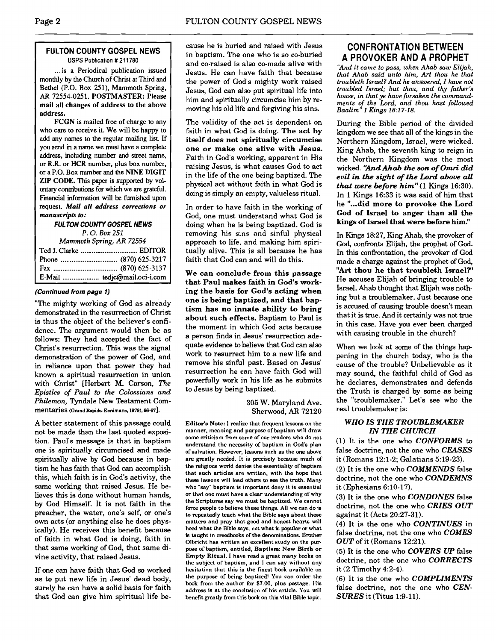# **FULTON COUNTY GOSPEL NEWS USPS Publication** # **21 1780**

... is a Periodical publication issued monthly by the Church of Christ at Third and Bethel (P.O. Box 251), Mammoth Spring, AR 72554-0251. POSTMASTER: Please mail all changes of address to the above address.

FCGN is mailed **free** of charge to any who care **to** receive it. We will be happy to add any names to the regular mailing list If you send in a name we must have a complete address, including number and street name, or R.R. or HCR number, plus box number. or a P.O. Box number and the NINE DIGIT ZIP CODE. This paper is supported by vol**untary** contributions for which we are grateful. **Financial** information will be furnished upon request. *Mail all* **address corrections or manuscripts to:** 

# **FULTON COUNTY GOSPEL NEWS**

*P.* **0.** *Box 251 Mammoth* **Spring,** *AR 72554* 

# **(Continued from page 1)**

"The mighty working of God as already demonstrated in the resurrection of Christ is thus the object of the believer's confidence. The argument would then be as follows: They had accepted the fact of Christ's resurrection. This was the signal demonstration of the power of **God.** and in reliance upon that power they had known a spiritual resurrection in union with Christ" [Herbert M. Carson, The *Epistles of Paul to the Colossians and Philemon,* Tyndale New Testament Commentaries **(Grand** Rapids: **Eerdmans. 1979). 66-67].** 

A better statement of this passage could not be made than the last quoted exposition. Paul's message is that in baptism one is spiritually circumcised and made spiritually alive by God because in baptism he has faith that God can accomplish this, which faith is in God's activity, the same working that raised Jesus. He believes this is done without human hands, by God Himself. It is not faith in the preacher, the water, one's self, or one's own acts (or anything else he does physically). He receives this benefit because of faith in what God is doing, faith in that same working of God, that same divine activity, that raised Jesus.

If one can have faith that **God** so worked as to put new life in Jesus' dead body, surely he can have **a** solid basis for faith that God can give him spiritual life because he is buried and raised with Jesus in baptism. The one who is so co-buried and co-raised is also co-made alive with Jesus. He can have faith that because the power of God's mighty work raised Jesus, God can also put spiritual life into him and spiritually circumcise him by removing his old life and forgiving his sins.

The validity of the act is dependent on faith in what God is doing. **The act by itself does not spiritually circumcise one or make one alive with Jesus.**  Faith in God's working, apparent in His raising Jesus, is what causes God to act in the life of the one being baptized. The physical act without faith in what God is doing is simply an empty, valueless ritual.

In order to have faith in the working of God, one must understand what God is doing when he is being baptized. God is removing his sins and sinful physical approach to life, and making him spiritually alive. This is all because he has faith that God can and will do this.

**We can conclude from this passage that Paul makes faith in God's working the basis for God's acting when one is being baptized, and that baptism has no innate ability to bring about such effects.** Baptism to Paul is the moment in which God acts because a person finds in Jesus' resurrection adequate evidence to believe that God can also work to resurrect him to a new life and remove his sinful past. Based on Jesus' resurrection he can have faith God will powefilly work in his life as he submits to Jesus by being baptized.

> 305 W. Maryland Ave. Sherwood, **AR** 72120

**Edibr'a Note: 1 realize that frequent lessons on the**  manner, meaning and purpose of baptism will draw some criticism from some of our readers who do not **understand the necessity of baptism in God's plan of salvation. However, lessons such as the one above are greatly needed. It is precisely because much of the religious world denies the essentiality of baptism that such articles are written, with the hope that these lessons will lead others to see the truth. Many who "say\* baptism is important deny it is easential or that one must have a clear understanding of why the Scripturea say we must be baptized. We cannot force people to believe these things. All we can do is to repeatedly teach what the Bible says about these matters and pray that good and honest hearts will heed what the Bible says, not what is popular or what is taught in creedbooks of the denominations. Brother Olbricht has written an excellent study on the purpose of baptism, entitled, Baptism: New Birth or Empty Ritual. I have read a great many books on the subject or baptism, and I can say without any hesitation that this is the Iinest book available on the purpose of being baptized! You can order the book from the author for \$7.00, plus postage. His address is at the conclusion of his article. You will**  benefit greatly from this book on this vital Bible topic.

# **CONFRONTATION BETWEEN APROVOKERANDAPROPHET**

*'And it came to pass, when Ahab saw Elijah, that Ahab said unto him, Art thou he that troubleth Israel? And he answered, I have not troubled Israel; but thou, and thy father's house, in that ye have forsaken the commandments of the Lord, and thou hast followed Baalim"* **1** *Kings* **18:17-18.** 

During the Bible period of the divided kingdom we see that all of the kings in the Northern Kingdom, Israel, were wicked. King Ahab, the seventh king to reign in the Northern Kingdom was the most wicked. 'IAnd Ahab the son of *Omri* did evil in the sight of the *Lord* above all that **were** before him"(1 Kings 16:30). In 1 Kings 16:33 it was said of him that he **"...did more to provoke the Lord God of Israel to anger than all the kings of Israel that were before him!'** 

In Kings 18:27, King Ahab, the provoker of God, confronts Elijah, the prophet of God. In this confrontation, the provoker of God made a charge against the prophet of God, "Art **thou he that troubleth Israel?''**  He accuses Elijah of bringing trouble to Israel. Ahab thought that Elijah was nothing but a troublemaker. Just because one is accused of causing trouble doesn't mean that it is true. And it certainly was not true in this **case.** Have you ever been charged with causing trouble in the church?

When we look at some of the things hap pening in the church today, who is the cause of the trouble? Unbelievable as it may sound, the faithful child of God as he declares, demonstrates and defends the Truth is charged by some as being the "troublemaker." Let's see who the real troublemaker is:

# *WHO IS THE TROUBLEMAKER IN THE CHURCH*

(1) It is the one who *CONFORMS* to false doctrine, not the one who *CEASES*  it (Romans 12:l-2; Galatians 5:19-23).

(2) It is the one who *COMMENDS* false doctrine, not the one who *CONDEMNS*  it (Ephesians 6:lO-17).

(3) It is the one who *CONDONES* false doctrine, not the one who *CRIES OUT*  against it (Acts 20:27-31).

(4) It is the one who *CONTINUES* in false doctrine, not the one who *COMES OUT* of it (Romans 12:21).

(5) It is the one who *COVERS UP* false doctrine, not the one who *CORRECTS*  it (2 Timothy 4:2-4).

(6) It IS the one who *COMPLIMENTS*  false doctrine, not the one who *CEN-SURES* it (Titus 1:9-11).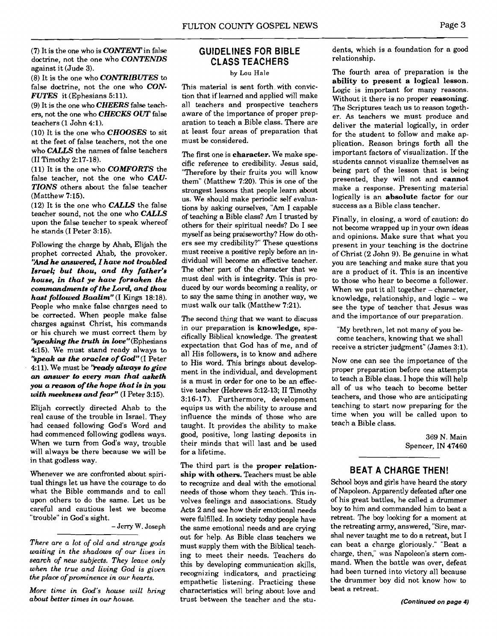(7) It is the one who is *CONTENT* in false doctrine, not the one who *CONTENDS*  against it (Jude 3).

(8) It is the one who *CONTRIBUTES* to false doctrine, not the one who *CON-FUTES* it (Ephesians 5:ll).

(9) It is the one who *CHEERS* false teachers, not the one who *CHECKS OUT* false teachers (1 John 4:1).

(10) It is the one who *CHOOSES* to sit at the feet of false teachers, not the one who *CAUS* the names of false teachers (I1 Timothy 2:17-18).

(11) It is the one who *COMFORTS* the false teacher, not the one who *CAU-TIONS* others about the false teacher (Matthew 7:15).

(12) It is the one who *CALLS* the false teacher sound, not the one who *CALLS*  upon the false teacher to speak whereof he stands (I Peter 3:15).

Following the charge by Ahab, Elijah the prophet corrected Ahab, the provoker. *'hd he cumwered, I have not troubled Israel; but thou, and thy father's house, in that ye have forsaken the commandments of the* Lam?, *and thou hast followed Baalim"* (I Kings 18:18). People who make false charges need to be corrected. When people make false charges against Christ, his commands or his church we must correct them by *'speaking the truth in love''* (Ephesians 4:15). We must stand ready always to *'kpeak as the oracles of* **God"** (I Peter 4:ll). We must be *'kady always to give an answer to every* man *thd asketh you a reason of the hope that is in you with meekness and fear"* (I Peter 3:15).

Elijah correctly directed Ahab to the real cause of the trouble in Israel. They had ceased following God's Word and had commenced following godless ways. When we turn from God's way, trouble will always be there because we will be in that godless way.

Whenever we are confronted about spiritual things let us have the courage to do what the Bible commands and to call upon others to do the same. Let us be careful and cautious lest we become "trouble" in God's sight.

# - Jerry **W.** Joseph

*There are a lot of old and strange gods waiting in the shadows of ow lives in search of new subjects. They leave only when the true and living God is given the place of prominence in our hearts.* 

*More time in God's house will bring about better times in our house.* 

# **GUIDELINES FOR BIBLE CLASS TEACHERS**

# **by** Lou Hale

This material is sent forth. with conviction that if learned and applied will make all teachers and prospective teachers aware of the importance of proper preparation to teach a Bible class. There are at least four areas of preparation that must be considered.

The first one is **character.** We make specific reference to credibility. Jesus said, "Therefore by their fruits you will know them" (Matthew 7:20). This is one of the strongest lessons that people learn about us. We should make periodic self evaluations by asking ourselves, **"Am** I capable of teaching a Bible class? **Am** I trusted by others for their spiritual needs? Do I see myself as being praiseworthy? How do others see my credibility?" These questions must receive a positive reply before an individual will become an effective teacher. The other part of the character that we must deal with is **integrity.** This is produced by our words becoming a reality, or to say the same thing in another way, we must walk our talk (Matthew 7:21).

The second thing that we want to discuss in our preparation is **knowledge,** specifically Biblical knowledge. The greatest expectation that God has of me, and of all His followers, is to know and adhere to His word. This brings about development in the individual, and development is a must in order for one to be an effective teacher (Hebrews 5:12-13; 11 Timothy 3:16-17). Furthermore, development equips us with the ability to arouse and influence the minds of those who are taught. It provides the ability to make good, positive, long lasting deposits in their minds that will last and be used for a lifetime.

The third part is the **proper relationship with others.** Teachers must be able to recognize and deal with the emotional needs of those whom they teach. This involves feelings and associations. Study Acts 2 and see how their emotional needs were fulfilled. In society today people have the same emotional needs and are crying out for help. As Bible class teachers we must supply them with the Biblical teaching to meet their needs. Teachers do this by developing communication skills, recognizing indicators, and practicing empathetic listening. Practicing these characteristics will bring about love and trust between the teacher and the students, which is a foundation for a good relationship.

The fourth area of preparation is the **ability to present a logical lesson.**  Logic is important for many reasons. Without it there is no proper **reasoning.**  The Scriptures teach us to reason together. As teachers we must produce and deliver the material logically, in order for the student to follow and make application. Reason brings forth all the important factors of visualization. If the students cannot visualize themselves as being part of the lesson that is being presented, they will not and **cannot**  make a response. Presenting material logically is an **absolute** factor for our success as a Bible class teacher.

Finally, in closing, a word of caution: do not become wrapped up in your own ideas and opinions. Make sure that what you present in your teaching is the doctrine of Christ (2 John 9). Be genuine in what you are teaching and make sure that you are a product of it. This is an incentive to those who hear to become a follower. When we put it all together  $-$  character, knowledge, relationship, and logic - we see the type of teacher that Jesus was and the importance of our preparation.

"My brethren, let not many of you become teachers, knowing that we shall receive a stricter judgment" (James 3:l).

Now one can see the importance of the proper preparation before one attempts to teach a Bible class. I hope this will help all of us who teach to become better teachers, and those who are anticipating teaching to start now preparing for the time when you will be called upon to teach a Bible class.

> 369 N. Main Spencer, IN 47460

# **BEAT A CHARGE THEN!**

School boys and girls have heard the story of Napoleon. Apparently defeated **after** one of his great battles, he called a drummer boy to him and commanded him to beat a retreat. The boy looking for a moment at the retreating army, answered, "Sire, marshal never taught me to do a retreat, but I can beat a charge gloriously." "Beat a charge, then," was Napoleon's stern command. When the battle was over, defeat had been turned into victory all because the drummer boy did not know how to beat a retreat.